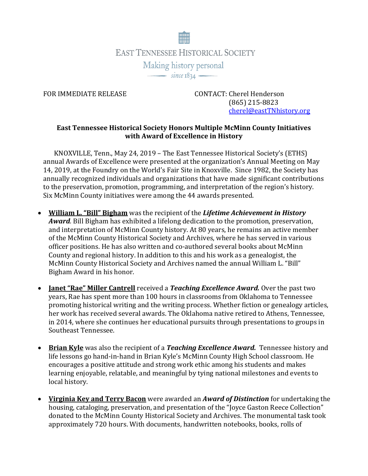

FOR IMMEDIATE RELEASE CONTACT: Cherel Henderson (865) 215-8823 [cherel@eastTNhistory.org](mailto:cherel@eastTNhistory.org)

## **East Tennessee Historical Society Honors Multiple McMinn County Initiatives with Award of Excellence in History**

KNOXVILLE, Tenn., May 24, 2019 – The East Tennessee Historical Society's (ETHS) annual Awards of Excellence were presented at the organization's Annual Meeting on May 14, 2019, at the Foundry on the World's Fair Site in Knoxville. Since 1982, the Society has annually recognized individuals and organizations that have made significant contributions to the preservation, promotion, programming, and interpretation of the region's history. Six McMinn County initiatives were among the 44 awards presented.

- **William L. "Bill" Bigham** was the recipient of the *Lifetime Achievement in History Award.* Bill Bigham has exhibited a lifelong dedication to the promotion, preservation, and interpretation of McMinn County history. At 80 years, he remains an active member of the McMinn County Historical Society and Archives, where he has served in various officer positions. He has also written and co-authored several books about McMinn County and regional history. In addition to this and his work as a genealogist, the McMinn County Historical Society and Archives named the annual William L. "Bill" Bigham Award in his honor.
- **Janet "Rae" Miller Cantrell** received a *Teaching Excellence Award.* Over the past two years, Rae has spent more than 100 hours in classrooms from Oklahoma to Tennessee promoting historical writing and the writing process. Whether fiction or genealogy articles, her work has received several awards. The Oklahoma native retired to Athens, Tennessee, in 2014, where she continues her educational pursuits through presentations to groups in Southeast Tennessee.
- **Brian Kyle** was also the recipient of a *Teaching Excellence Award*. Tennessee history and life lessons go hand-in-hand in Brian Kyle's McMinn County High School classroom. He encourages a positive attitude and strong work ethic among his students and makes learning enjoyable, relatable, and meaningful by tying national milestones and events to local history.
- **Virginia Key and Terry Bacon** were awarded an *Award of Distinction* for undertaking the housing, cataloging, preservation, and presentation of the "Joyce Gaston Reece Collection" donated to the McMinn County Historical Society and Archives. The monumental task took approximately 720 hours. With documents, handwritten notebooks, books, rolls of